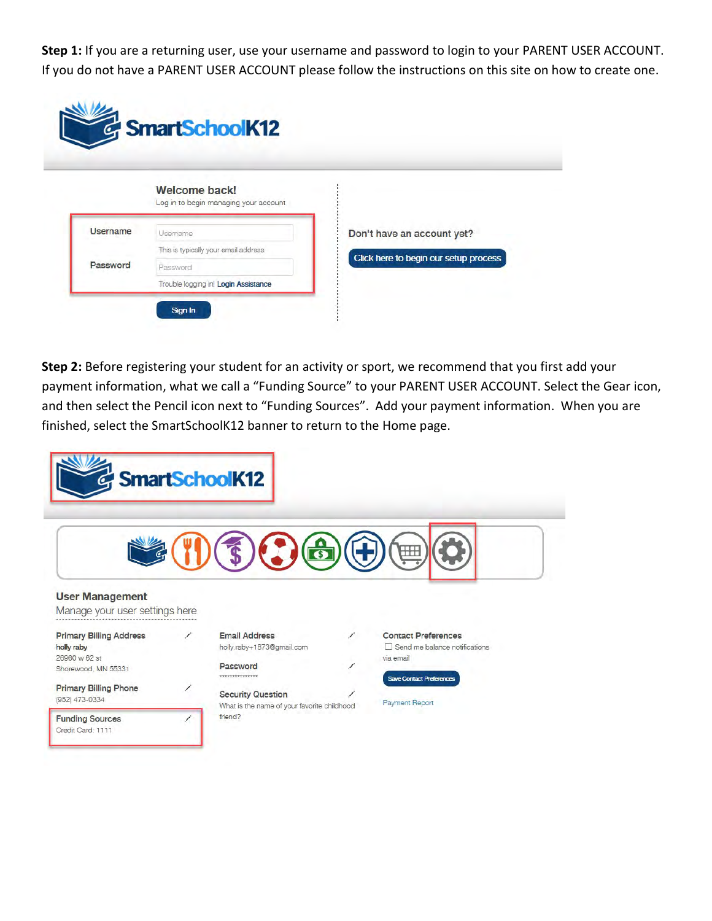Step 1: If you are a returning user, use your username and password to login to your PARENT USER ACCOUNT. If you do not have a PARENT USER ACCOUNT please follow the instructions on this site on how to create one.

|                 | Welcome back!<br>Log in to begin managing your account |                                       |
|-----------------|--------------------------------------------------------|---------------------------------------|
| <b>Username</b> | Usemame                                                | Don't have an account yet?            |
|                 | This is typically your email address.                  | Click here to begin our setup process |
| Password        | Password                                               |                                       |
|                 | Trouble logging in! Login Assistance                   |                                       |

Step 2: Before registering your student for an activity or sport, we recommend that you first add your payment information, what we call a "Funding Source" to your PARENT USER ACCOUNT. Select the Gear icon, and then select the Pencil icon next to "Funding Sources". Add your payment information. When you are finished, select the SmartSchoolK12 banner to return to the Home page.

| SmartSchoolK12                                                                       |  |                                                                                  |  |                                                                                                             |  |
|--------------------------------------------------------------------------------------|--|----------------------------------------------------------------------------------|--|-------------------------------------------------------------------------------------------------------------|--|
|                                                                                      |  |                                                                                  |  |                                                                                                             |  |
| <b>User Management</b><br>Manage your user settings here                             |  |                                                                                  |  |                                                                                                             |  |
| <b>Primary Billing Address</b><br>holly raby<br>26960 w 62 st<br>Shorewood, MN 55331 |  | <b>Email Address</b><br>holly.raby+1873@gmail.com<br>Password<br>*************** |  | <b>Contact Preferences</b><br>Send me balance notifications<br>via email<br><b>Save Contact Preferences</b> |  |
| <b>Primary Billing Phone</b><br>(952) 473-0334                                       |  | <b>Security Question</b><br>What is the name of your favorite childhood          |  | <b>Payment Report</b>                                                                                       |  |
| <b>Funding Sources</b><br>Credit Card: 1111                                          |  | friend?                                                                          |  |                                                                                                             |  |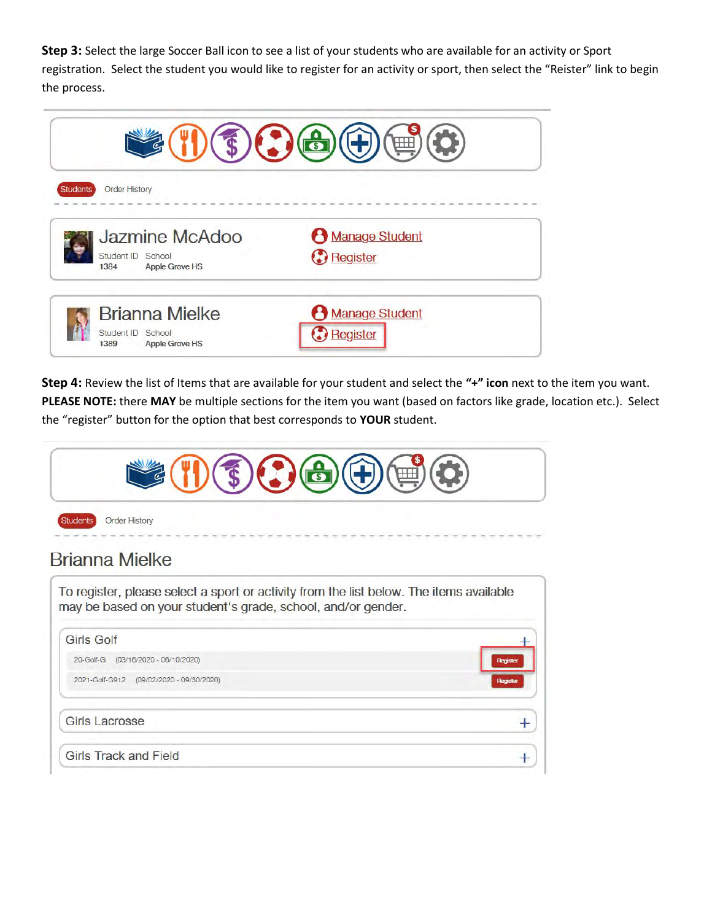Step 3: Select the large Soccer Ball icon to see a list of your students who are available for an activity or Sport registration. Select the student you would like to register for an activity or sport, then select the "Reister" link to begin the process.



Step 4: Review the list of Items that are available for your student and select the "+" icon next to the item you want. PLEASE NOTE: there MAY be multiple sections for the item you want (based on factors like grade, location etc.). Select the "register" button for the option that best corresponds to YOUR student.

| <b>Order History</b><br><b>Students</b>                                                                                                                 |  |  |  |  |
|---------------------------------------------------------------------------------------------------------------------------------------------------------|--|--|--|--|
|                                                                                                                                                         |  |  |  |  |
| To register, please select a sport or activity from the list below. The items available<br>may be based on your student's grade, school, and/or gender. |  |  |  |  |
|                                                                                                                                                         |  |  |  |  |
| <b>Registe</b>                                                                                                                                          |  |  |  |  |
| Registe                                                                                                                                                 |  |  |  |  |
|                                                                                                                                                         |  |  |  |  |
|                                                                                                                                                         |  |  |  |  |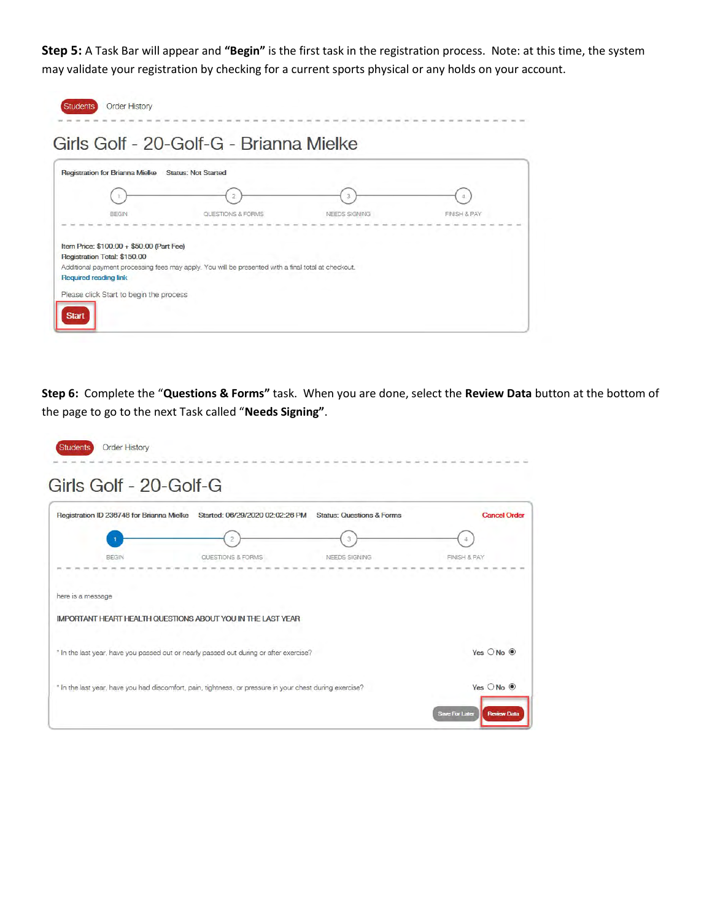Step 5: A Task Bar will appear and "Begin" is the first task in the registration process. Note: at this time, the system may validate your registration by checking for a current sports physical or any holds on your account.

| <b>Registration for Brianna Mielke</b>    | <b>Status: Not Started</b>                                                                          |               |                         |
|-------------------------------------------|-----------------------------------------------------------------------------------------------------|---------------|-------------------------|
|                                           |                                                                                                     |               |                         |
| <b>BEGIN</b>                              | QUESTIONS & FORMS                                                                                   | NEEDS SIGNING | <b>FINISH &amp; PAY</b> |
|                                           |                                                                                                     |               |                         |
| Item Price: \$100.00 + \$50.00 (Part Fee) |                                                                                                     |               |                         |
| Registration Total: \$150.00              | Additional payment processing fees may apply. You will be presented with a final total at checkout. |               |                         |
| Required reading link                     |                                                                                                     |               |                         |

Step 6: Complete the "Questions & Forms" task. When you are done, select the Review Data button at the bottom of the page to go to the next Task called "Needs Signing".

| Registration ID 236748 for Brianna Mielke                                              | Started: 06/29/2020 02:02:26 PM Status: Questions & Forms |               | <b>Cancel Order</b>  |
|----------------------------------------------------------------------------------------|-----------------------------------------------------------|---------------|----------------------|
|                                                                                        | 2                                                         | 3             | 4                    |
| <b>BEGIN</b>                                                                           | QUESTIONS & FORMS                                         | NEEDS SIGNING | FINISH & PAY         |
| here is a message                                                                      |                                                           |               |                      |
| <b>IMPORTANT HEART HEALTH QUESTIONS ABOUT YOU IN THE LAST YEAR</b>                     |                                                           |               |                      |
| * In the last year, have you passed out or nearly passed out during or after exercise? |                                                           |               | Yes $O$ No $\odot$   |
|                                                                                        |                                                           |               | Yes ONo <sup>O</sup> |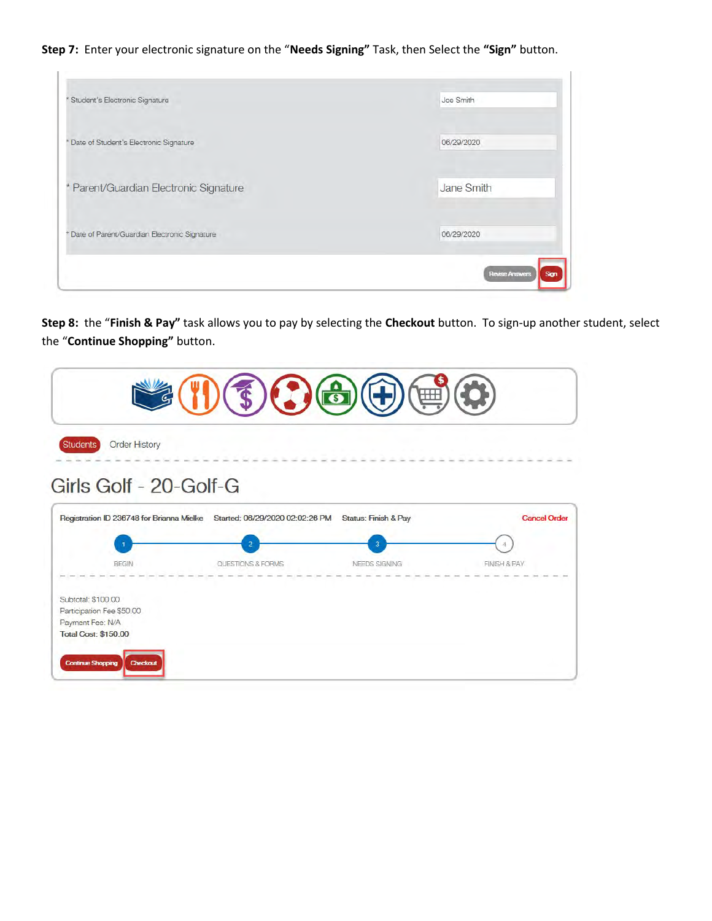Step 7: Enter your electronic signature on the "Needs Signing" Task, then Select the "Sign" button.

| Student's Electronic Signature               | Joe Smith                     |
|----------------------------------------------|-------------------------------|
| Date of Student's Electronic Signature       | 06/29/2020                    |
| * Parent/Guardian Electronic Signature       | Jane Smith                    |
| Date of Parent/Guardian Electronic Signature | 06/29/2020                    |
|                                              | <b>Revise Answers</b><br>Sign |

Step 8: the "Finish & Pay" task allows you to pay by selecting the Checkout button. To sign-up another student, select the "Continue Shopping" button.

| $\mathfrak{F} \left( \mathcal{L} \right) \left( \mathfrak{S} \right) \left( \mathfrak{S} \right) \left( \mathfrak{S} \right)$<br>(画) |                                                                           |                                 |                                     |  |
|--------------------------------------------------------------------------------------------------------------------------------------|---------------------------------------------------------------------------|---------------------------------|-------------------------------------|--|
| Order History<br><b>Students</b>                                                                                                     |                                                                           |                                 |                                     |  |
| Girls Golf - 20-Golf-G                                                                                                               | Registration ID 236748 for Brianna Mielke Started: 06/29/2020 02:02:26 PM | Status: Finish & Pay            | <b>Cancel Order</b>                 |  |
| <b>BEGIN</b>                                                                                                                         | $\overline{2}$<br>QUESTIONS & FORMS                                       | $\overline{3}$<br>NEEDS SIGNING | $\Delta$<br><b>FINISH &amp; PAY</b> |  |
| Subtotal: \$100.00<br>Participation Fee \$50.00<br>Payment Fee: N/A<br><b>Total Cost: \$150.00</b>                                   |                                                                           |                                 |                                     |  |
| <b>Continue Shopping</b><br>Checkout                                                                                                 |                                                                           |                                 |                                     |  |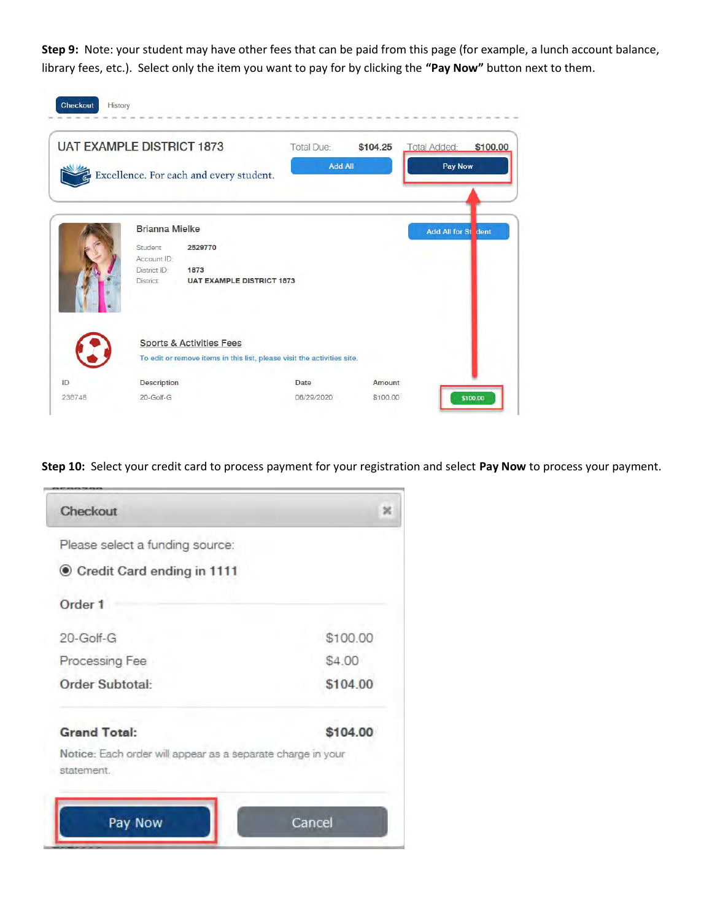Step 9: Note: your student may have other fees that can be paid from this page (for example, a lunch account balance, library fees, etc.). Select only the item you want to pay for by clicking the "Pay Now" button next to them.

|        | <b>UAT EXAMPLE DISTRICT 1873</b>                                        | <b>Total Due:</b> | \$104.25 | <b>Total Added:</b>   | \$100.00 |
|--------|-------------------------------------------------------------------------|-------------------|----------|-----------------------|----------|
|        | Excellence. For each and every student.                                 | <b>Add All</b>    |          | <b>Pay Now</b>        |          |
|        | <b>Brianna Mielke</b><br>Student<br>2529770                             |                   |          | <b>Add All for St</b> | dent     |
|        | Account ID:                                                             |                   |          |                       |          |
|        | District ID:<br>1873<br><b>UAT EXAMPLE DISTRICT 1873</b><br>District:   |                   |          |                       |          |
|        | <b>Sports &amp; Activities Fees</b>                                     |                   |          |                       |          |
|        | To edit or remove items in this list, please visit the activities site. |                   |          |                       |          |
| ID     | <b>Description</b>                                                      | Date              | Amount   |                       |          |
| 236748 | 20-Golf-G                                                               | 06/29/2020        | \$100.00 |                       | \$100.00 |

Step 10: Select your credit card to process payment for your registration and select Pay Now to process your payment.